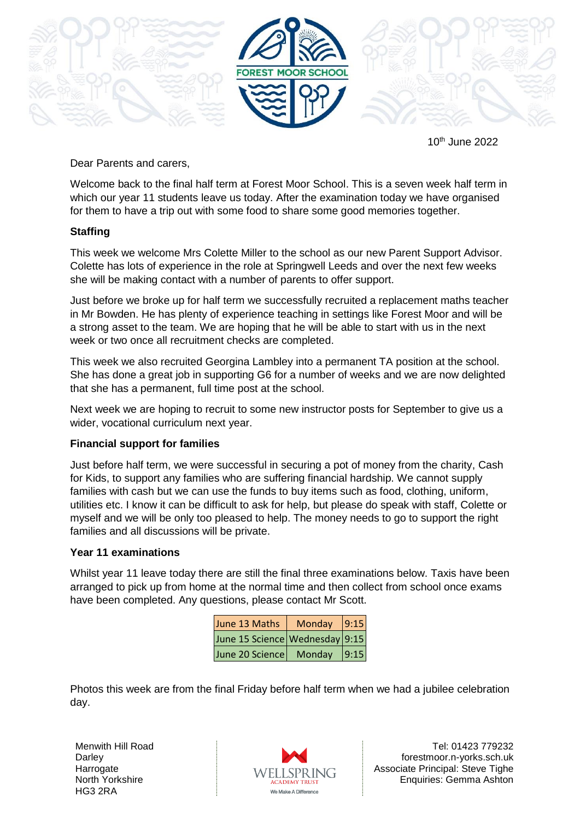

10th June 2022

Dear Parents and carers,

Welcome back to the final half term at Forest Moor School. This is a seven week half term in which our year 11 students leave us today. After the examination today we have organised for them to have a trip out with some food to share some good memories together.

## **Staffing**

This week we welcome Mrs Colette Miller to the school as our new Parent Support Advisor. Colette has lots of experience in the role at Springwell Leeds and over the next few weeks she will be making contact with a number of parents to offer support.

Just before we broke up for half term we successfully recruited a replacement maths teacher in Mr Bowden. He has plenty of experience teaching in settings like Forest Moor and will be a strong asset to the team. We are hoping that he will be able to start with us in the next week or two once all recruitment checks are completed.

This week we also recruited Georgina Lambley into a permanent TA position at the school. She has done a great job in supporting G6 for a number of weeks and we are now delighted that she has a permanent, full time post at the school.

Next week we are hoping to recruit to some new instructor posts for September to give us a wider, vocational curriculum next year.

## **Financial support for families**

Just before half term, we were successful in securing a pot of money from the charity, Cash for Kids, to support any families who are suffering financial hardship. We cannot supply families with cash but we can use the funds to buy items such as food, clothing, uniform, utilities etc. I know it can be difficult to ask for help, but please do speak with staff, Colette or myself and we will be only too pleased to help. The money needs to go to support the right families and all discussions will be private.

## **Year 11 examinations**

Whilst year 11 leave today there are still the final three examinations below. Taxis have been arranged to pick up from home at the normal time and then collect from school once exams have been completed. Any questions, please contact Mr Scott.

| June 13 Maths                  | Monday | 9:15 |
|--------------------------------|--------|------|
| June 15 Science Wednesday 9:15 |        |      |
| June 20 Science                | Monday | 9:15 |

Photos this week are from the final Friday before half term when we had a jubilee celebration day.

Menwith Hill Road **Darley Harrogate** North Yorkshire HG3 2RA



Tel: 01423 779232 forestmoor.n-yorks.sch.uk Associate Principal: Steve Tighe Enquiries: Gemma Ashton